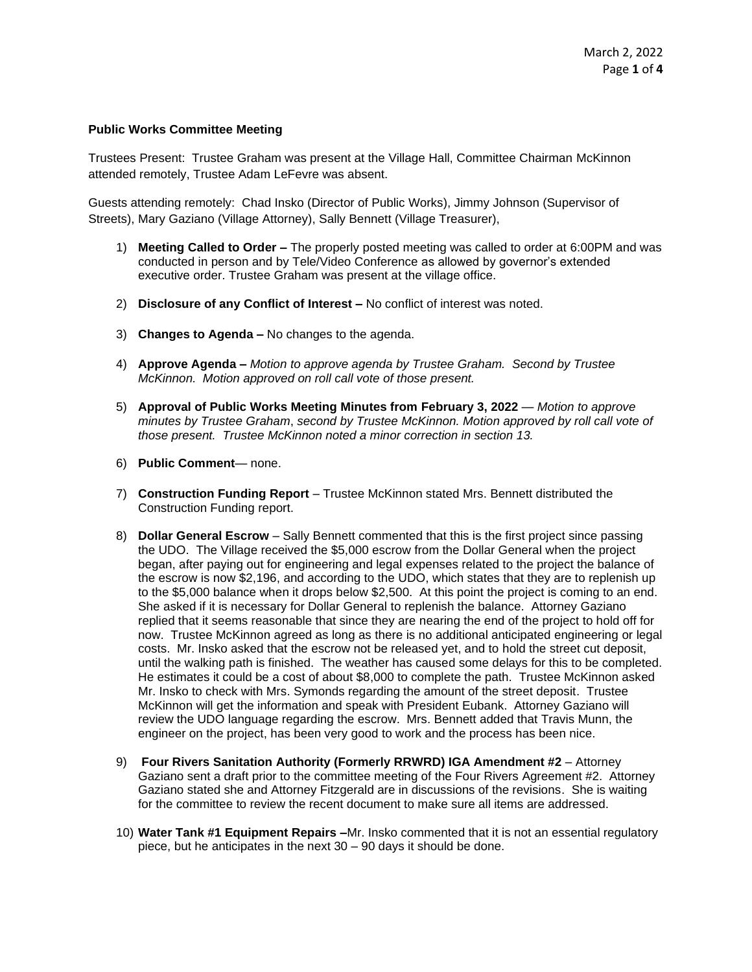## **Public Works Committee Meeting**

Trustees Present: Trustee Graham was present at the Village Hall, Committee Chairman McKinnon attended remotely, Trustee Adam LeFevre was absent.

Guests attending remotely: Chad Insko (Director of Public Works), Jimmy Johnson (Supervisor of Streets), Mary Gaziano (Village Attorney), Sally Bennett (Village Treasurer),

- 1) **Meeting Called to Order –** The properly posted meeting was called to order at 6:00PM and was conducted in person and by Tele/Video Conference as allowed by governor's extended executive order. Trustee Graham was present at the village office.
- 2) **Disclosure of any Conflict of Interest –** No conflict of interest was noted.
- 3) **Changes to Agenda –** No changes to the agenda.
- 4) **Approve Agenda –** *Motion to approve agenda by Trustee Graham. Second by Trustee McKinnon. Motion approved on roll call vote of those present.*
- 5) **Approval of Public Works Meeting Minutes from February 3, 2022** *Motion to approve minutes by Trustee Graham*, *second by Trustee McKinnon. Motion approved by roll call vote of those present. Trustee McKinnon noted a minor correction in section 13.*
- 6) **Public Comment** none.
- 7) **Construction Funding Report** Trustee McKinnon stated Mrs. Bennett distributed the Construction Funding report.
- 8) **Dollar General Escrow** Sally Bennett commented that this is the first project since passing the UDO. The Village received the \$5,000 escrow from the Dollar General when the project began, after paying out for engineering and legal expenses related to the project the balance of the escrow is now \$2,196, and according to the UDO, which states that they are to replenish up to the \$5,000 balance when it drops below \$2,500. At this point the project is coming to an end. She asked if it is necessary for Dollar General to replenish the balance. Attorney Gaziano replied that it seems reasonable that since they are nearing the end of the project to hold off for now. Trustee McKinnon agreed as long as there is no additional anticipated engineering or legal costs. Mr. Insko asked that the escrow not be released yet, and to hold the street cut deposit, until the walking path is finished. The weather has caused some delays for this to be completed. He estimates it could be a cost of about \$8,000 to complete the path. Trustee McKinnon asked Mr. Insko to check with Mrs. Symonds regarding the amount of the street deposit. Trustee McKinnon will get the information and speak with President Eubank. Attorney Gaziano will review the UDO language regarding the escrow. Mrs. Bennett added that Travis Munn, the engineer on the project, has been very good to work and the process has been nice.
- 9) **Four Rivers Sanitation Authority (Formerly RRWRD) IGA Amendment #2**  Attorney Gaziano sent a draft prior to the committee meeting of the Four Rivers Agreement #2. Attorney Gaziano stated she and Attorney Fitzgerald are in discussions of the revisions. She is waiting for the committee to review the recent document to make sure all items are addressed.
- 10) **Water Tank #1 Equipment Repairs –**Mr. Insko commented that it is not an essential regulatory piece, but he anticipates in the next 30 – 90 days it should be done.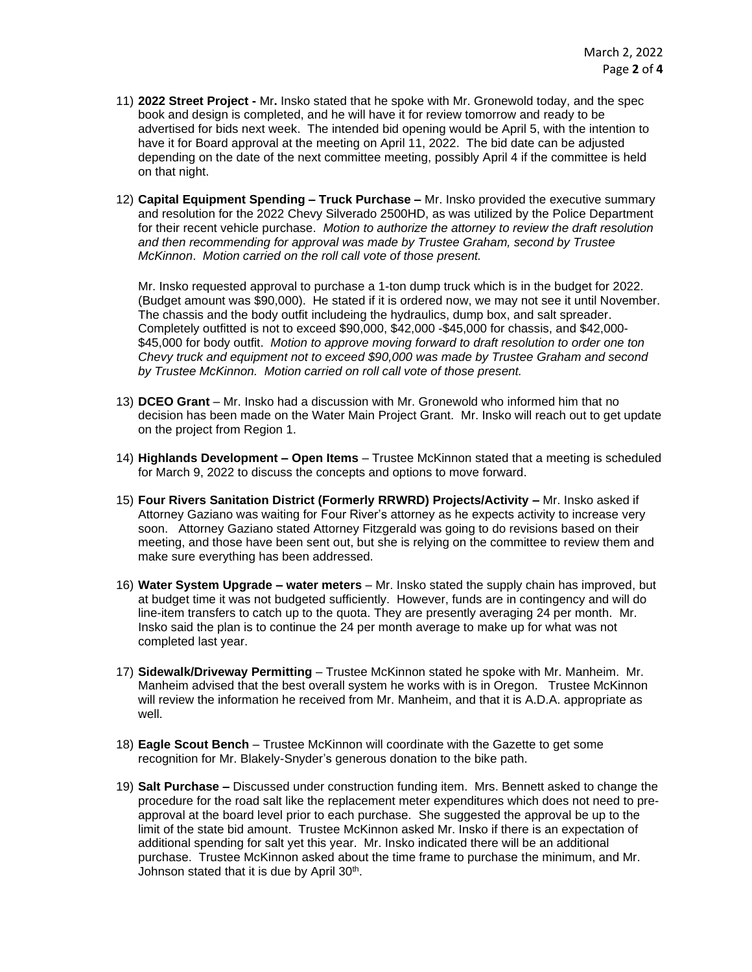- 11) **2022 Street Project -** Mr**.** Insko stated that he spoke with Mr. Gronewold today, and the spec book and design is completed, and he will have it for review tomorrow and ready to be advertised for bids next week. The intended bid opening would be April 5, with the intention to have it for Board approval at the meeting on April 11, 2022. The bid date can be adjusted depending on the date of the next committee meeting, possibly April 4 if the committee is held on that night.
- 12) **Capital Equipment Spending – Truck Purchase –** Mr. Insko provided the executive summary and resolution for the 2022 Chevy Silverado 2500HD, as was utilized by the Police Department for their recent vehicle purchase. *Motion to authorize the attorney to review the draft resolution and then recommending for approval was made by Trustee Graham, second by Trustee McKinnon*. *Motion carried on the roll call vote of those present.*

Mr. Insko requested approval to purchase a 1-ton dump truck which is in the budget for 2022. (Budget amount was \$90,000). He stated if it is ordered now, we may not see it until November. The chassis and the body outfit includeing the hydraulics, dump box, and salt spreader. Completely outfitted is not to exceed \$90,000, \$42,000 -\$45,000 for chassis, and \$42,000- \$45,000 for body outfit. *Motion to approve moving forward to draft resolution to order one ton Chevy truck and equipment not to exceed \$90,000 was made by Trustee Graham and second by Trustee McKinnon. Motion carried on roll call vote of those present.*

- 13) **DCEO Grant** Mr. Insko had a discussion with Mr. Gronewold who informed him that no decision has been made on the Water Main Project Grant. Mr. Insko will reach out to get update on the project from Region 1.
- 14) **Highlands Development – Open Items** Trustee McKinnon stated that a meeting is scheduled for March 9, 2022 to discuss the concepts and options to move forward.
- 15) **Four Rivers Sanitation District (Formerly RRWRD) Projects/Activity –** Mr. Insko asked if Attorney Gaziano was waiting for Four River's attorney as he expects activity to increase very soon. Attorney Gaziano stated Attorney Fitzgerald was going to do revisions based on their meeting, and those have been sent out, but she is relying on the committee to review them and make sure everything has been addressed.
- 16) **Water System Upgrade – water meters** Mr. Insko stated the supply chain has improved, but at budget time it was not budgeted sufficiently. However, funds are in contingency and will do line-item transfers to catch up to the quota. They are presently averaging 24 per month. Mr. Insko said the plan is to continue the 24 per month average to make up for what was not completed last year.
- 17) **Sidewalk/Driveway Permitting** Trustee McKinnon stated he spoke with Mr. Manheim. Mr. Manheim advised that the best overall system he works with is in Oregon. Trustee McKinnon will review the information he received from Mr. Manheim, and that it is A.D.A. appropriate as well.
- 18) **Eagle Scout Bench**  Trustee McKinnon will coordinate with the Gazette to get some recognition for Mr. Blakely-Snyder's generous donation to the bike path.
- 19) **Salt Purchase –** Discussed under construction funding item. Mrs. Bennett asked to change the procedure for the road salt like the replacement meter expenditures which does not need to preapproval at the board level prior to each purchase. She suggested the approval be up to the limit of the state bid amount. Trustee McKinnon asked Mr. Insko if there is an expectation of additional spending for salt yet this year. Mr. Insko indicated there will be an additional purchase. Trustee McKinnon asked about the time frame to purchase the minimum, and Mr. Johnson stated that it is due by April 30<sup>th</sup>.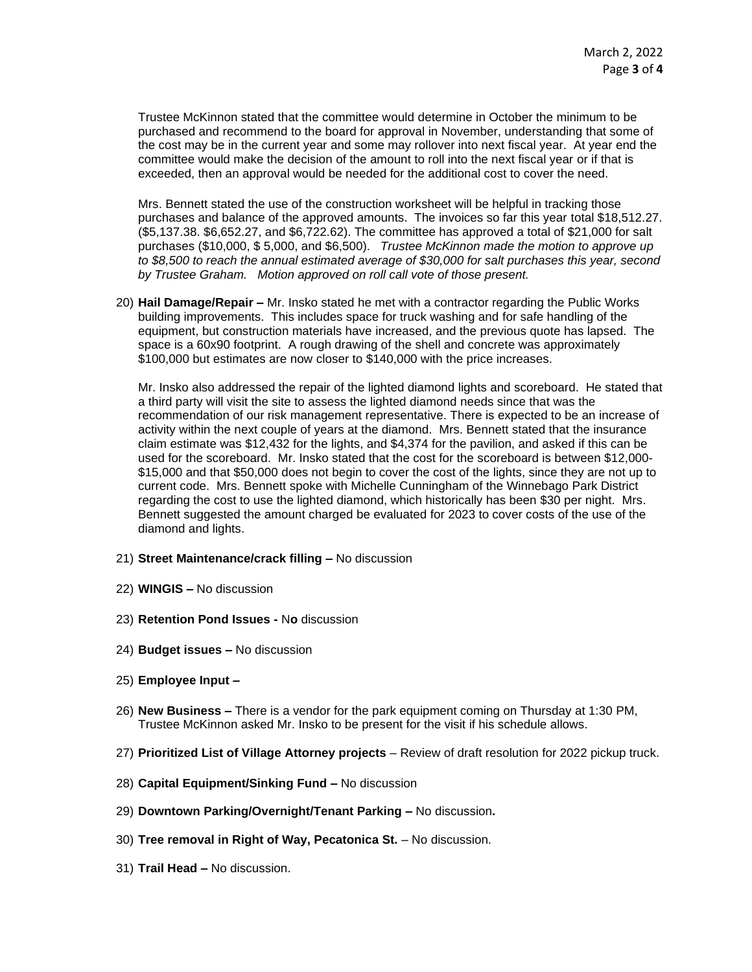Trustee McKinnon stated that the committee would determine in October the minimum to be purchased and recommend to the board for approval in November, understanding that some of the cost may be in the current year and some may rollover into next fiscal year. At year end the committee would make the decision of the amount to roll into the next fiscal year or if that is exceeded, then an approval would be needed for the additional cost to cover the need.

Mrs. Bennett stated the use of the construction worksheet will be helpful in tracking those purchases and balance of the approved amounts. The invoices so far this year total \$18,512.27. (\$5,137.38. \$6,652.27, and \$6,722.62). The committee has approved a total of \$21,000 for salt purchases (\$10,000, \$ 5,000, and \$6,500). *Trustee McKinnon made the motion to approve up to \$8,500 to reach the annual estimated average of \$30,000 for salt purchases this year, second by Trustee Graham. Motion approved on roll call vote of those present.*

20) **Hail Damage/Repair –** Mr. Insko stated he met with a contractor regarding the Public Works building improvements. This includes space for truck washing and for safe handling of the equipment, but construction materials have increased, and the previous quote has lapsed. The space is a 60x90 footprint. A rough drawing of the shell and concrete was approximately \$100,000 but estimates are now closer to \$140,000 with the price increases.

Mr. Insko also addressed the repair of the lighted diamond lights and scoreboard. He stated that a third party will visit the site to assess the lighted diamond needs since that was the recommendation of our risk management representative. There is expected to be an increase of activity within the next couple of years at the diamond. Mrs. Bennett stated that the insurance claim estimate was \$12,432 for the lights, and \$4,374 for the pavilion, and asked if this can be used for the scoreboard. Mr. Insko stated that the cost for the scoreboard is between \$12,000- \$15,000 and that \$50,000 does not begin to cover the cost of the lights, since they are not up to current code. Mrs. Bennett spoke with Michelle Cunningham of the Winnebago Park District regarding the cost to use the lighted diamond, which historically has been \$30 per night. Mrs. Bennett suggested the amount charged be evaluated for 2023 to cover costs of the use of the diamond and lights.

- 21) **Street Maintenance/crack filling –** No discussion
- 22) **WINGIS –** No discussion
- 23) **Retention Pond Issues -** N**o** discussion
- 24) **Budget issues –** No discussion
- 25) **Employee Input –**
- 26) **New Business –** There is a vendor for the park equipment coming on Thursday at 1:30 PM, Trustee McKinnon asked Mr. Insko to be present for the visit if his schedule allows.
- 27) **Prioritized List of Village Attorney projects** Review of draft resolution for 2022 pickup truck.
- 28) **Capital Equipment/Sinking Fund –** No discussion
- 29) **Downtown Parking/Overnight/Tenant Parking –** No discussion**.**
- 30) **Tree removal in Right of Way, Pecatonica St.** No discussion.
- 31) **Trail Head –** No discussion.